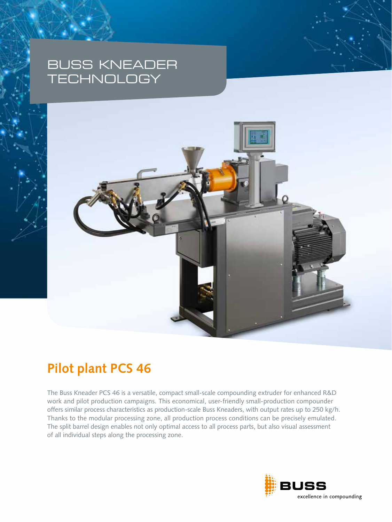# BUSS KNEADER **TECHNOLOGY**



# **Pilot plant PCS 46**

The Buss Kneader PCS 46 is a versatile, compact small-scale compounding extruder for enhanced R&D work and pilot production campaigns. This economical, user-friendly small-production compounder offers similar process characteristics as production-scale Buss Kneaders, with output rates up to 250 kg/h. Thanks to the modular processing zone, all production process conditions can be precisely emulated. The split barrel design enables not only optimal access to all process parts, but also visual assessment of all individual steps along the processing zone.